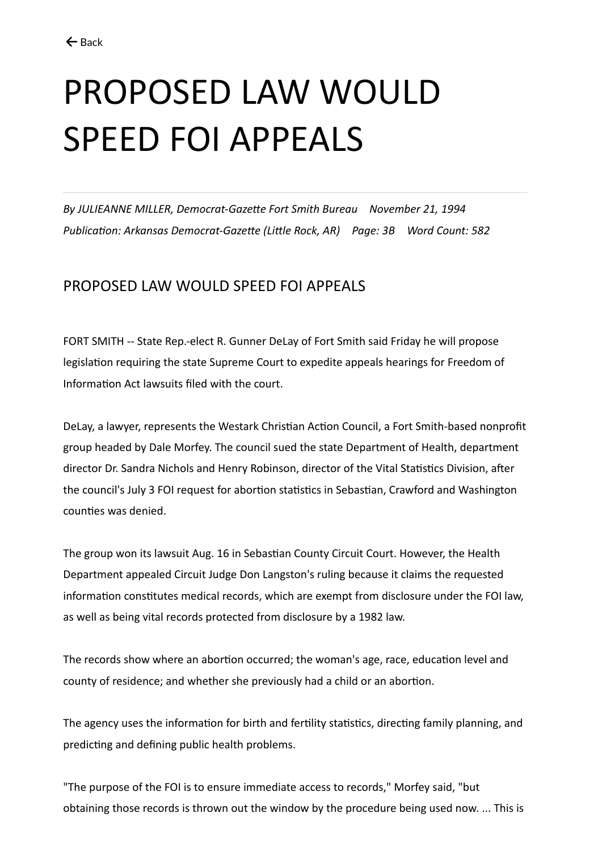## PROPOSED LAW WOULD SPEED FOI APPEALS

*By JULIEANNE MILLER, Democrat-Gazette Fort Smith Bureau November 21, 1994 Publication: Arkansas Democrat-Gazette (Little Rock, AR) Page: 3B Word Count: 582*

## PROPOSED LAW WOULD SPEED FOI APPEALS

FORT SMITH -- State Rep.-elect R. Gunner DeLay of Fort Smith said Friday he will propose legislation requiring the state Supreme Court to expedite appeals hearings for Freedom of Information Act lawsuits filed with the court.

DeLay, a lawyer, represents the Westark Christian Action Council, a Fort Smith-based nonprofit group headed by Dale Morfey. The council sued the state Department of Health, department director Dr. Sandra Nichols and Henry Robinson, director of the Vital Statistics Division, after the council's July 3 FOI request for abortion statistics in Sebastian, Crawford and Washington counties was denied.

The group won its lawsuit Aug. 16 in Sebastian County Circuit Court. However, the Health Department appealed Circuit Judge Don Langston's ruling because it claims the requested information constitutes medical records, which are exempt from disclosure under the FOI law, as well as being vital records protected from disclosure by a 1982 law.

The records show where an abortion occurred; the woman's age, race, education level and county of residence; and whether she previously had a child or an abortion.

The agency uses the information for birth and fertility statistics, directing family planning, and predicting and defining public health problems.

"The purpose of the FOI is to ensure immediate access to records," Morfey said, "but obtaining those records is thrown out the window by the procedure being used now. ... This is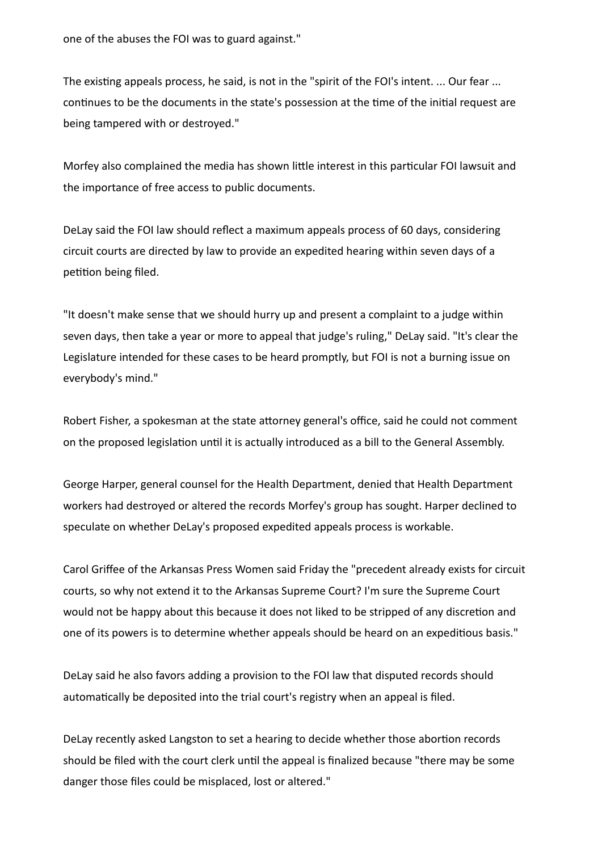one of the abuses the FOI was to guard against."

The existing appeals process, he said, is not in the "spirit of the FOI's intent. ... Our fear ... continues to be the documents in the state's possession at the time of the initial request are being tampered with or destroyed."

Morfey also complained the media has shown little interest in this particular FOI lawsuit and the importance of free access to public documents.

DeLay said the FOI law should reflect a maximum appeals process of 60 days, considering circuit courts are directed by law to provide an expedited hearing within seven days of a petition being filed.

"It doesn't make sense that we should hurry up and present a complaint to a judge within seven days, then take a year or more to appeal that judge's ruling," DeLay said. "It's clear the Legislature intended for these cases to be heard promptly, but FOI is not a burning issue on everybody's mind."

Robert Fisher, a spokesman at the state attorney general's office, said he could not comment on the proposed legislation until it is actually introduced as a bill to the General Assembly.

George Harper, general counsel for the Health Department, denied that Health Department workers had destroyed or altered the records Morfey's group has sought. Harper declined to speculate on whether DeLay's proposed expedited appeals process is workable.

Carol Griffee of the Arkansas Press Women said Friday the "precedent already exists for circuit courts, so why not extend it to the Arkansas Supreme Court? I'm sure the Supreme Court would not be happy about this because it does not liked to be stripped of any discretion and one of its powers is to determine whether appeals should be heard on an expeditious basis."

DeLay said he also favors adding a provision to the FOI law that disputed records should automatically be deposited into the trial court's registry when an appeal is filed.

DeLay recently asked Langston to set a hearing to decide whether those abortion records should be filed with the court clerk until the appeal is finalized because "there may be some danger those files could be misplaced, lost or altered."